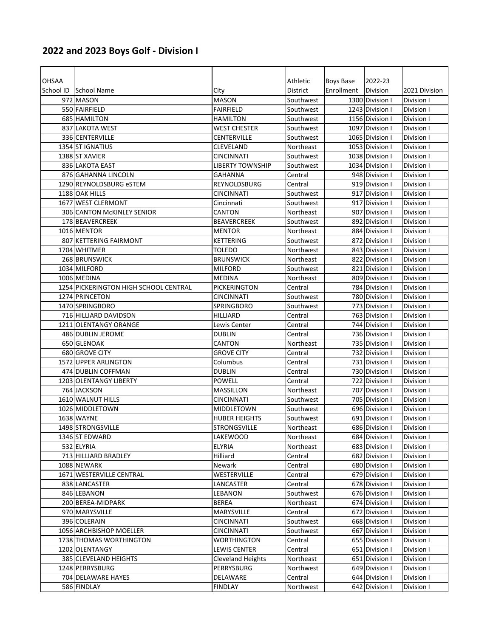## **2022 and 2023 Boys Golf ‐ Division I**

| <b>OHSAA</b> |                                       |                          | Athletic  | Boys Base  | 2022-23         |               |
|--------------|---------------------------------------|--------------------------|-----------|------------|-----------------|---------------|
|              | School ID School Name                 | City                     | District  | Enrollment | Division        | 2021 Division |
|              | 972 MASON                             | <b>MASON</b>             | Southwest |            | 1300 Division I | Division I    |
|              | 550 FAIRFIELD                         | <b>FAIRFIELD</b>         | Southwest |            | 1243 Division I | Division I    |
|              | 685 HAMILTON                          | <b>HAMILTON</b>          | Southwest |            | 1156 Division I | Division I    |
|              | 837 LAKOTA WEST                       | <b>WEST CHESTER</b>      | Southwest |            | 1097 Division I | Division I    |
|              | 336 CENTERVILLE                       | CENTERVILLE              | Southwest |            | 1065 Division I | Division I    |
|              | 1354 ST IGNATIUS                      | CLEVELAND                | Northeast |            | 1053 Division I | Division I    |
|              | 1388 ST XAVIER                        | <b>CINCINNATI</b>        | Southwest |            | 1038 Division I | Division I    |
|              | 836 LAKOTA EAST                       | <b>LIBERTY TOWNSHIP</b>  | Southwest |            | 1034 Division I | Division I    |
|              | 876 GAHANNA LINCOLN                   | <b>GAHANNA</b>           | Central   |            | 948 Division I  | Division I    |
|              | 1290 REYNOLDSBURG eSTEM               | <b>REYNOLDSBURG</b>      | Central   |            | 919 Division I  | Division I    |
|              | 1188 OAK HILLS                        | CINCINNATI               | Southwest |            | 917 Division I  | Division I    |
|              | 1677 WEST CLERMONT                    | Cincinnati               | Southwest |            | 917 Division I  | Division I    |
|              | 306 CANTON McKINLEY SENIOR            | CANTON                   | Northeast |            | 907 Division I  | Division I    |
|              | 178 BEAVERCREEK                       | <b>BEAVERCREEK</b>       | Southwest |            | 892 Division I  | Division I    |
|              | 1016 MENTOR                           | <b>MENTOR</b>            | Northeast |            | 884 Division I  | Division I    |
|              | 807 KETTERING FAIRMONT                | <b>KETTERING</b>         | Southwest |            | 872 Division I  | Division I    |
|              | 1704 WHITMER                          | <b>TOLEDO</b>            | Northwest |            | 843 Division I  | Division I    |
|              | 268 BRUNSWICK                         | <b>BRUNSWICK</b>         | Northeast |            | 822 Division I  | Division I    |
|              | 1034 MILFORD                          | <b>MILFORD</b>           | Southwest |            | 821 Division I  | Division I    |
|              | 1006 MEDINA                           | <b>MEDINA</b>            | Northeast |            | 809 Division I  | Division I    |
|              | 1254 PICKERINGTON HIGH SCHOOL CENTRAL | PICKERINGTON             | Central   |            | 784 Division I  | Division I    |
|              | 1274 PRINCETON                        | <b>CINCINNATI</b>        | Southwest |            | 780 Division I  | Division I    |
|              | 1470 SPRINGBORO                       | <b>SPRINGBORO</b>        | Southwest |            | 773 Division I  | Division I    |
|              | 716 HILLIARD DAVIDSON                 | <b>HILLIARD</b>          | Central   |            | 763 Division I  | Division I    |
|              | 1211 OLENTANGY ORANGE                 | Lewis Center             | Central   |            | 744 Division I  | Division I    |
|              | 486 DUBLIN JEROME                     | <b>DUBLIN</b>            | Central   |            | 736 Division I  | Division I    |
|              | 650 GLENOAK                           | CANTON                   | Northeast |            | 735 Division I  | Division I    |
|              | 680 GROVE CITY                        | <b>GROVE CITY</b>        | Central   |            | 732 Division I  | Division I    |
|              | 1572 UPPER ARLINGTON                  | Columbus                 | Central   |            | 731 Division I  | Division I    |
|              | 474 DUBLIN COFFMAN                    | <b>DUBLIN</b>            | Central   |            | 730 Division I  | Division I    |
|              | 1203 OLENTANGY LIBERTY                | <b>POWELL</b>            | Central   |            | 722 Division I  | Division I    |
|              | 764 JACKSON                           | <b>MASSILLON</b>         | Northeast |            | 707 Division I  | Division I    |
|              | 1610 WALNUT HILLS                     | <b>CINCINNATI</b>        | Southwest |            | 705 Division I  | Division I    |
|              | 1026 MIDDLETOWN                       | <b>MIDDLETOWN</b>        | Southwest |            | 696 Division I  | Division I    |
|              | 1638 WAYNE                            | <b>HUBER HEIGHTS</b>     | Southwest |            | 691 Division I  | Division I    |
|              | 1498 STRONGSVILLE                     | <b>STRONGSVILLE</b>      | Northeast |            | 686 Division I  | Division I    |
|              | 1346 ST EDWARD                        | LAKEWOOD                 | Northeast |            | 684 Division I  | Division I    |
|              | 532 ELYRIA                            | <b>ELYRIA</b>            | Northeast |            | 683 Division I  | Division I    |
|              | 713 HILLIARD BRADLEY                  | Hilliard                 | Central   |            | 682 Division I  | Division I    |
|              | 1088 NEWARK                           | Newark                   | Central   |            | 680 Division I  | Division I    |
|              | 1671 WESTERVILLE CENTRAL              | WESTERVILLE              | Central   |            | 679 Division I  | Division I    |
|              | 838 LANCASTER                         | LANCASTER                | Central   |            | 678 Division I  | Division I    |
|              | 846 LEBANON                           | LEBANON                  | Southwest |            | 676 Division I  | Division I    |
|              | 200 BEREA-MIDPARK                     | <b>BEREA</b>             | Northeast |            | 674 Division I  | Division I    |
|              | 970 MARYSVILLE                        | MARYSVILLE               | Central   |            | 672 Division I  | Division I    |
|              | 396 COLERAIN                          | CINCINNATI               | Southwest |            | 668 Division I  | Division I    |
|              | 1056 ARCHBISHOP MOELLER               | <b>CINCINNATI</b>        | Southwest |            | 667 Division I  | Division I    |
|              | 1738 THOMAS WORTHINGTON               | <b>WORTHINGTON</b>       | Central   |            | 655 Division I  | Division I    |
|              | 1202 OLENTANGY                        | LEWIS CENTER             | Central   |            | 651 Division I  | Division I    |
|              | 385 CLEVELAND HEIGHTS                 | <b>Cleveland Heights</b> | Northeast |            | 651 Division I  | Division I    |
|              | 1248 PERRYSBURG                       | <b>PERRYSBURG</b>        | Northwest |            | 649 Division I  | Division I    |
|              | 704 DELAWARE HAYES                    | DELAWARE                 | Central   |            | 644 Division I  | Division I    |
|              | 586 FINDLAY                           | <b>FINDLAY</b>           | Northwest |            | 642 Division I  | Division I    |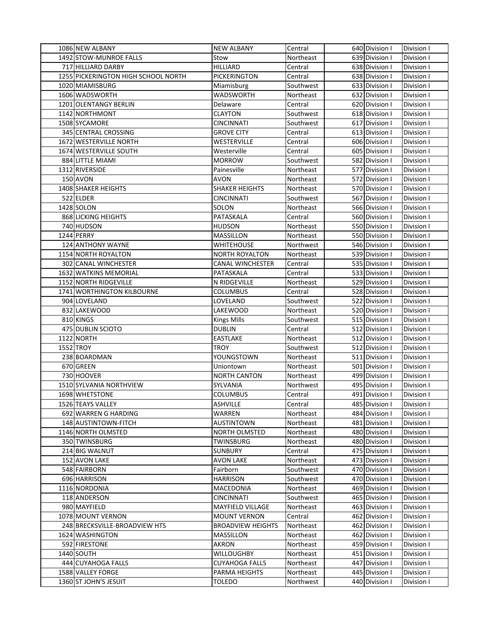| 1086 NEW ALBANY                     | <b>NEW ALBANY</b>        | Central   | 640 Division I | Division I |
|-------------------------------------|--------------------------|-----------|----------------|------------|
| 1492 STOW-MUNROE FALLS              | Stow                     | Northeast | 639 Division I | Division I |
| 717 HILLIARD DARBY                  | <b>HILLIARD</b>          | Central   | 638 Division I | Division I |
| 1255 PICKERINGTON HIGH SCHOOL NORTH | PICKERINGTON             | Central   | 638 Division I | Division I |
| 1020 MIAMISBURG                     | Miamisburg               | Southwest | 633 Division I | Division I |
| 1606 WADSWORTH                      | WADSWORTH                | Northeast | 632 Division I | Division I |
| 1201 OLENTANGY BERLIN               | Delaware                 | Central   | 620 Division I | Division I |
| 1142 NORTHMONT                      | <b>CLAYTON</b>           | Southwest | 618 Division I | Division I |
| 1508 SYCAMORE                       | CINCINNATI               | Southwest | 617 Division I | Division I |
| 345 CENTRAL CROSSING                | <b>GROVE CITY</b>        | Central   | 613 Division I | Division I |
| 1672 WESTERVILLE NORTH              | WESTERVILLE              | Central   | 606 Division I | Division I |
| 1674 WESTERVILLE SOUTH              | Westerville              | Central   | 605 Division I | Division I |
| 884 LITTLE MIAMI                    | <b>MORROW</b>            | Southwest | 582 Division I | Division I |
| 1312 RIVERSIDE                      | Painesville              | Northeast | 577 Division I | Division I |
| 150 AVON                            | AVON                     | Northeast | 572 Division I | Division I |
| 1408 SHAKER HEIGHTS                 | <b>SHAKER HEIGHTS</b>    | Northeast | 570 Division I | Division I |
| 522 ELDER                           | CINCINNATI               | Southwest | 567 Division I | Division I |
| 1428 SOLON                          | SOLON                    | Northeast | 566 Division I | Division I |
| 868 LICKING HEIGHTS                 | PATASKALA                | Central   | 560 Division I | Division I |
| 740 HUDSON                          | <b>HUDSON</b>            | Northeast | 550 Division I | Division I |
| 1244 PERRY                          | <b>MASSILLON</b>         | Northeast | 550 Division I | Division I |
| 124 ANTHONY WAYNE                   | WHITEHOUSE               | Northwest | 546 Division I | Division I |
| 1154 NORTH ROYALTON                 | <b>NORTH ROYALTON</b>    | Northeast | 539 Division I | Division I |
| 302 CANAL WINCHESTER                | <b>CANAL WINCHESTER</b>  | Central   | 535 Division I | Division I |
| 1632 WATKINS MEMORIAL               | PATASKALA                | Central   | 533 Division I | Division I |
| 1152 NORTH RIDGEVILLE               | N RIDGEVILLE             | Northeast | 529 Division I | Division I |
| 1741 WORTHINGTON KILBOURNE          | <b>COLUMBUS</b>          | Central   | 528 Division I | Division I |
| 904 LOVELAND                        | LOVELAND                 | Southwest | 522 Division I | Division I |
| 832 LAKEWOOD                        | LAKEWOOD                 | Northeast | 520 Division I | Division I |
| 810 KINGS                           | <b>Kings Mills</b>       | Southwest | 515 Division I | Division I |
| 475 DUBLIN SCIOTO                   | <b>DUBLIN</b>            | Central   | 512 Division I | Division I |
| 1122 NORTH                          | <b>EASTLAKE</b>          | Northeast | 512 Division I | Division I |
| 1552 TROY                           | <b>TROY</b>              | Southwest | 512 Division I | Division I |
| 238 BOARDMAN                        | YOUNGSTOWN               | Northeast | 511 Division I | Division I |
| 670 GREEN                           | Uniontown                | Northeast | 501 Division I | Division I |
| 730 HOOVER                          | <b>NORTH CANTON</b>      | Northeast | 499 Division I | Division I |
| 1510 SYLVANIA NORTHVIEW             | SYLVANIA                 | Northwest | 495 Division I | Division I |
| 1698 WHETSTONE                      | COLUMBUS                 | Central   | 491 Division I | Division I |
| 1526 TEAYS VALLEY                   | ASHVILLE                 | Central   | 485 Division I | Division I |
| 692 WARREN G HARDING                | WARREN                   | Northeast | 484 Division I | Division I |
| 148 AUSTINTOWN-FITCH                | <b>AUSTINTOWN</b>        | Northeast | 481 Division I | Division I |
| 1146 NORTH OLMSTED                  | <b>NORTH OLMSTED</b>     | Northeast | 480 Division I | Division I |
| 350 TWINSBURG                       | <b>TWINSBURG</b>         | Northeast | 480 Division I | Division I |
| 214 BIG WALNUT                      | <b>SUNBURY</b>           | Central   | 475 Division I | Division I |
| 152 AVON LAKE                       | AVON LAKE                | Northeast | 473 Division I | Division I |
| 548 FAIRBORN                        | Fairborn                 | Southwest | 470 Division I | Division I |
| 696 HARRISON                        | <b>HARRISON</b>          | Southwest | 470 Division I | Division I |
| 1116 NORDONIA                       | MACEDONIA                | Northeast | 469 Division I | Division I |
| 118 ANDERSON                        | CINCINNATI               | Southwest | 465 Division I | Division I |
| 980 MAYFIELD                        | MAYFIELD VILLAGE         | Northeast | 463 Division I | Division I |
| 1078 MOUNT VERNON                   | <b>MOUNT VERNON</b>      | Central   | 462 Division I | Division I |
| 248 BRECKSVILLE-BROADVIEW HTS       | <b>BROADVIEW HEIGHTS</b> | Northeast | 462 Division I | Division I |
| 1624 WASHINGTON                     | MASSILLON                | Northeast | 462 Division I | Division I |
| 592 FIRESTONE                       | <b>AKRON</b>             | Northeast | 459 Division I | Division I |
| 1440 SOUTH                          | <b>WILLOUGHBY</b>        | Northeast | 451 Division I | Division I |
| 444 CUYAHOGA FALLS                  | <b>CUYAHOGA FALLS</b>    | Northeast | 447 Division I | Division I |
| 1588 VALLEY FORGE                   | PARMA HEIGHTS            | Northeast | 445 Division I | Division I |
| 1360 ST JOHN'S JESUIT               | <b>TOLEDO</b>            | Northwest | 440 Division I | Division I |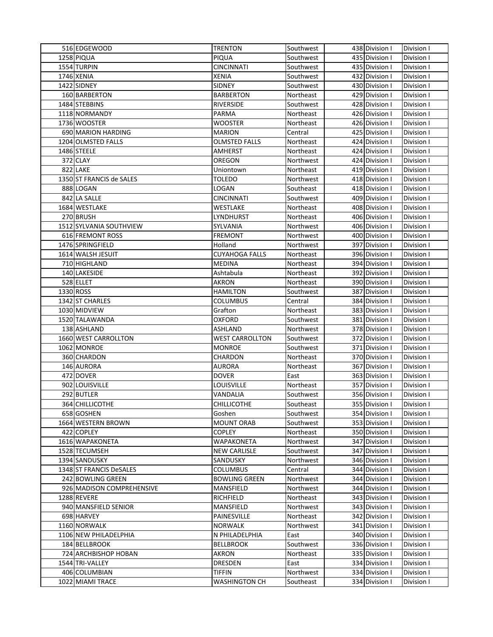| 516 EDGEWOOD              | <b>TRENTON</b>         | Southwest | 438 Division I | Division I               |
|---------------------------|------------------------|-----------|----------------|--------------------------|
| 1258 PIQUA                | PIQUA                  | Southwest | 435 Division I | Division I               |
| 1554 TURPIN               | <b>CINCINNATI</b>      | Southwest | 435 Division I | Division I               |
| 1746 XENIA                | XENIA                  | Southwest | 432 Division I | Division I               |
| 1422 SIDNEY               | <b>SIDNEY</b>          | Southwest | 430 Division I | Division I               |
| 160 BARBERTON             | <b>BARBERTON</b>       | Northeast | 429 Division I | Division I               |
| 1484 STEBBINS             | <b>RIVERSIDE</b>       | Southwest | 428 Division I | Division I               |
| 1118 NORMANDY             | PARMA                  | Northeast | 426 Division I | Division I               |
| 1736 WOOSTER              | <b>WOOSTER</b>         | Northeast | 426 Division I | Division I               |
| 690 MARION HARDING        | <b>MARION</b>          | Central   | 425 Division I | Division I               |
| 1204 OLMSTED FALLS        | <b>OLMSTED FALLS</b>   | Northeast | 424 Division I | Division I               |
| 1486 STEELE               | AMHERST                |           | 424 Division I | Division I               |
| 372 CLAY                  |                        | Northeast |                |                          |
|                           | OREGON                 | Northwest | 424 Division I | Division I               |
| 822 LAKE                  | Uniontown              | Northeast | 419 Division I | Division I               |
| 1350 ST FRANCIS de SALES  | TOLEDO                 | Northwest | 418 Division I | Division I               |
| 888 LOGAN                 | LOGAN                  | Southeast | 418 Division I | Division I               |
| 842 LA SALLE              | CINCINNATI             | Southwest | 409 Division I | Division I               |
| 1684 WESTLAKE             | WESTLAKE               | Northeast | 408 Division I | Division I               |
| 270 BRUSH                 | LYNDHURST              | Northeast | 406 Division I | Division I               |
| 1512 SYLVANIA SOUTHVIEW   | SYLVANIA               | Northwest | 406 Division I | Division I               |
| 616 FREMONT ROSS          | <b>FREMONT</b>         | Northwest | 400 Division I | Division I               |
| 1476 SPRINGFIELD          | Holland                | Northwest | 397 Division I | Division I               |
| 1614 WALSH JESUIT         | <b>CUYAHOGA FALLS</b>  | Northeast | 396 Division I | Division I               |
| 710 HIGHLAND              | <b>MEDINA</b>          | Northeast | 394 Division I | Division I               |
| 140 LAKESIDE              | Ashtabula              | Northeast | 392 Division I | Division I               |
| 528 ELLET                 | AKRON                  | Northeast | 390 Division I | Division I               |
| 1330 ROSS                 | <b>HAMILTON</b>        | Southwest | 387 Division I | Division I               |
| 1342 ST CHARLES           | <b>COLUMBUS</b>        | Central   | 384 Division I | Division I               |
| 1030 MIDVIEW              | Grafton                | Northeast | 383 Division I | Division I               |
| 1520 TALAWANDA            | OXFORD                 | Southwest | 381 Division I | Division I               |
| 138 ASHLAND               | ASHLAND                | Northwest | 378 Division I | Division I               |
| 1660 WEST CARROLLTON      | <b>WEST CARROLLTON</b> | Southwest | 372 Division I | Division I               |
| 1062 MONROE               | <b>MONROE</b>          | Southwest | 371 Division I | Division I               |
| 360 CHARDON               | CHARDON                | Northeast | 370 Division I | Division I               |
|                           |                        |           |                |                          |
| 146 AURORA                | <b>AURORA</b>          | Northeast | 367 Division I | Division I               |
| 472 DOVER                 | <b>DOVER</b>           | East      | 363 Division I | Division I               |
| 902 LOUISVILLE            | LOUISVILLE             | Northeast | 357 Division I | Division I               |
| 292 BUTLER                | VANDALIA               | Southwest | 356 Division I | Division I               |
| 364 CHILLICOTHE           | CHILLICOTHE            | Southeast | 355 Division I |                          |
| 658 GOSHEN                | Goshen                 | Southwest | 354 Division I | Division I<br>Division I |
| 1664 WESTERN BROWN        | <b>MOUNT ORAB</b>      | Southwest | 353 Division I | Division I               |
| 422 COPLEY                | <b>COPLEY</b>          | Northeast | 350 Division I | Division I               |
| 1616 WAPAKONETA           | WAPAKONETA             | Northwest | 347 Division I | Division I               |
| 1528 TECUMSEH             | <b>NEW CARLISLE</b>    | Southwest | 347 Division I | Division I               |
| 1394 SANDUSKY             | SANDUSKY               | Northwest | 346 Division I | Division I               |
| 1348 ST FRANCIS DeSALES   | <b>COLUMBUS</b>        | Central   | 344 Division I | Division I               |
| 242 BOWLING GREEN         | <b>BOWLING GREEN</b>   | Northwest | 344 Division I | Division I               |
| 926 MADISON COMPREHENSIVE | MANSFIELD              | Northwest | 344 Division I | Division I               |
| 1288 REVERE               | RICHFIELD              | Northeast | 343 Division I | Division I               |
| 940 MANSFIELD SENIOR      | MANSFIELD              | Northwest | 343 Division I | Division I               |
| 698 HARVEY                | PAINESVILLE            | Northeast | 342 Division I | Division I               |
| 1160 NORWALK              | NORWALK                | Northwest | 341 Division I | Division I               |
| 1106 NEW PHILADELPHIA     | N PHILADELPHIA         | East      | 340 Division I | Division I               |
| 184 BELLBROOK             | <b>BELLBROOK</b>       | Southwest | 336 Division I | Division I               |
| 724 ARCHBISHOP HOBAN      | AKRON                  | Northeast | 335 Division I | Division I               |
| 1544 TRI-VALLEY           | DRESDEN                | East      | 334 Division I | Division I               |
| 406 COLUMBIAN             | <b>TIFFIN</b>          | Northwest | 334 Division I | Division I               |